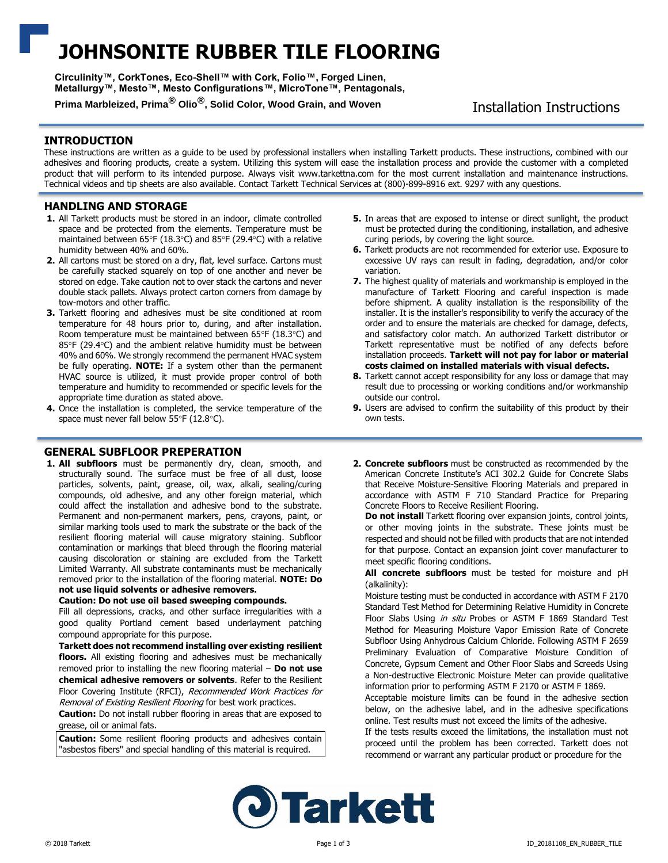# **JOHNSONITE RUBBER TILE FLOORING**

**Circulinity™, CorkTones, Eco-Shell™ with Cork, Folio™, Forged Linen, Metallurgy™, Mesto™, Mesto Configurations™, MicroTone™, Pentagonals,** 

Prima Marbleized, Prima<sup>®</sup> Olio<sup>®</sup>, Solid Color, Wood Grain, and Woven Installation Instructions

# **INTRODUCTION**

These instructions are written as a guide to be used by professional installers when installing Tarkett products. These instructions, combined with our adhesives and flooring products, create a system. Utilizing this system will ease the installation process and provide the customer with a completed product that will perform to its intended purpose. Always visit www.tarkettna.com for the most current installation and maintenance instructions. Technical videos and tip sheets are also available. Contact Tarkett Technical Services at (800)-899-8916 ext. 9297 with any questions.

# **HANDLING AND STORAGE**

- **1.** All Tarkett products must be stored in an indoor, climate controlled space and be protected from the elements. Temperature must be maintained between 65°F (18.3°C) and 85°F (29.4°C) with a relative humidity between 40% and 60%.
- **2.** All cartons must be stored on a dry, flat, level surface. Cartons must be carefully stacked squarely on top of one another and never be stored on edge. Take caution not to over stack the cartons and never double stack pallets. Always protect carton corners from damage by tow-motors and other traffic.
- **3.** Tarkett flooring and adhesives must be site conditioned at room temperature for 48 hours prior to, during, and after installation. Room temperature must be maintained between 65°F (18.3°C) and 85 $\degree$ F (29.4 $\degree$ C) and the ambient relative humidity must be between 40% and 60%. We strongly recommend the permanent HVAC system be fully operating. **NOTE:** If a system other than the permanent HVAC source is utilized, it must provide proper control of both temperature and humidity to recommended or specific levels for the appropriate time duration as stated above.
- **4.** Once the installation is completed, the service temperature of the space must never fall below  $55^{\circ}F$  (12.8 $^{\circ}C$ ).

# **GENERAL SUBFLOOR PREPERATION**

**1. All subfloors** must be permanently dry, clean, smooth, and structurally sound. The surface must be free of all dust, loose particles, solvents, paint, grease, oil, wax, alkali, sealing/curing compounds, old adhesive, and any other foreign material, which could affect the installation and adhesive bond to the substrate. Permanent and non-permanent markers, pens, crayons, paint, or similar marking tools used to mark the substrate or the back of the resilient flooring material will cause migratory staining. Subfloor contamination or markings that bleed through the flooring material causing discoloration or staining are excluded from the Tarkett Limited Warranty. All substrate contaminants must be mechanically removed prior to the installation of the flooring material. **NOTE: Do not use liquid solvents or adhesive removers.**

### **Caution: Do not use oil based sweeping compounds.**

Fill all depressions, cracks, and other surface irregularities with a good quality Portland cement based underlayment patching compound appropriate for this purpose.

**Tarkett does not recommend installing over existing resilient floors.** All existing flooring and adhesives must be mechanically removed prior to installing the new flooring material – **Do not use chemical adhesive removers or solvents**. Refer to the Resilient Floor Covering Institute (RFCI), Recommended Work Practices for Removal of Existing Resilient Flooring for best work practices.

**Caution:** Do not install rubber flooring in areas that are exposed to grease, oil or animal fats.

**Caution:** Some resilient flooring products and adhesives contain "asbestos fibers" and special handling of this material is required.

- **5.** In areas that are exposed to intense or direct sunlight, the product must be protected during the conditioning, installation, and adhesive curing periods, by covering the light source.
- **6.** Tarkett products are not recommended for exterior use. Exposure to excessive UV rays can result in fading, degradation, and/or color variation.
- **7.** The highest quality of materials and workmanship is employed in the manufacture of Tarkett Flooring and careful inspection is made before shipment. A quality installation is the responsibility of the installer. It is the installer's responsibility to verify the accuracy of the order and to ensure the materials are checked for damage, defects, and satisfactory color match. An authorized Tarkett distributor or Tarkett representative must be notified of any defects before installation proceeds. **Tarkett will not pay for labor or material costs claimed on installed materials with visual defects.**
- **8.** Tarkett cannot accept responsibility for any loss or damage that may result due to processing or working conditions and/or workmanship outside our control.
- **9.** Users are advised to confirm the suitability of this product by their own tests.
- **2. Concrete subfloors** must be constructed as recommended by the American Concrete Institute's ACI 302.2 Guide for Concrete Slabs that Receive Moisture-Sensitive Flooring Materials and prepared in accordance with ASTM F 710 Standard Practice for Preparing Concrete Floors to Receive Resilient Flooring.

**Do not install** Tarkett flooring over expansion joints, control joints, or other moving joints in the substrate. These joints must be respected and should not be filled with products that are not intended for that purpose. Contact an expansion joint cover manufacturer to meet specific flooring conditions.

**All concrete subfloors** must be tested for moisture and pH (alkalinity):

Moisture testing must be conducted in accordance with ASTM F 2170 Standard Test Method for Determining Relative Humidity in Concrete Floor Slabs Using in situ Probes or ASTM F 1869 Standard Test Method for Measuring Moisture Vapor Emission Rate of Concrete Subfloor Using Anhydrous Calcium Chloride. Following ASTM F 2659 Preliminary Evaluation of Comparative Moisture Condition of Concrete, Gypsum Cement and Other Floor Slabs and Screeds Using a Non-destructive Electronic Moisture Meter can provide qualitative information prior to performing ASTM F 2170 or ASTM F 1869.

Acceptable moisture limits can be found in the adhesive section below, on the adhesive label, and in the adhesive specifications online. Test results must not exceed the limits of the adhesive.

If the tests results exceed the limitations, the installation must not proceed until the problem has been corrected. Tarkett does not recommend or warrant any particular product or procedure for the

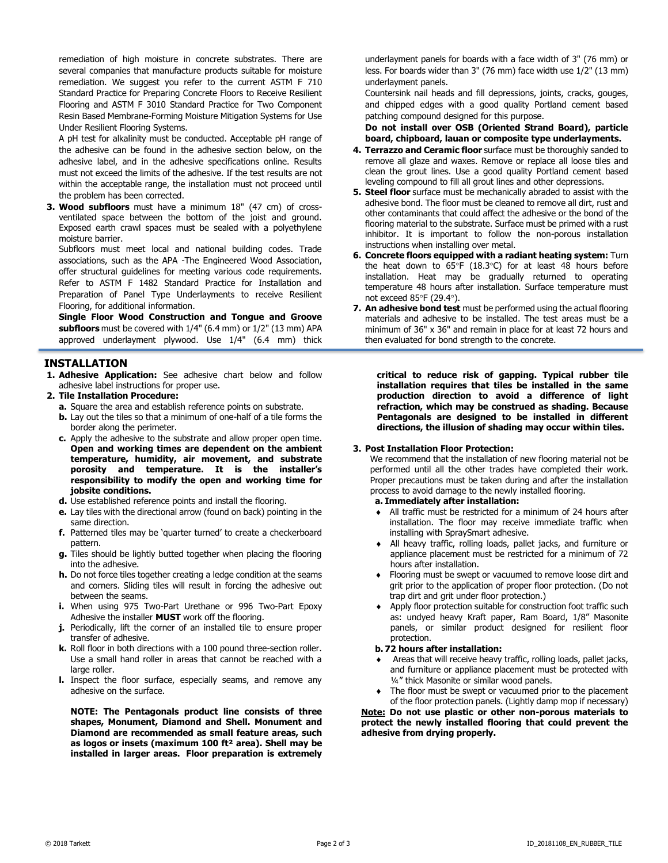remediation of high moisture in concrete substrates. There are several companies that manufacture products suitable for moisture remediation. We suggest you refer to the current ASTM F 710 Standard Practice for Preparing Concrete Floors to Receive Resilient Flooring and ASTM F 3010 Standard Practice for Two Component Resin Based Membrane-Forming Moisture Mitigation Systems for Use Under Resilient Flooring Systems.

A pH test for alkalinity must be conducted. Acceptable pH range of the adhesive can be found in the adhesive section below, on the adhesive label, and in the adhesive specifications online. Results must not exceed the limits of the adhesive. If the test results are not within the acceptable range, the installation must not proceed until the problem has been corrected.

**3. Wood subfloors** must have a minimum 18" (47 cm) of crossventilated space between the bottom of the joist and ground. Exposed earth crawl spaces must be sealed with a polyethylene moisture barrier.

Subfloors must meet local and national building codes. Trade associations, such as the APA -The Engineered Wood Association, offer structural guidelines for meeting various code requirements. Refer to ASTM F 1482 Standard Practice for Installation and Preparation of Panel Type Underlayments to receive Resilient Flooring, for additional information.

**Single Floor Wood Construction and Tongue and Groove subfloors** must be covered with 1/4" (6.4 mm) or 1/2" (13 mm) APA approved underlayment plywood. Use 1/4" (6.4 mm) thick

# **INSTALLATION**

- **1. Adhesive Application:** See adhesive chart below and follow adhesive label instructions for proper use.
- **2. Tile Installation Procedure:**
	- **a.** Square the area and establish reference points on substrate.
	- **b.** Lay out the tiles so that a minimum of one-half of a tile forms the border along the perimeter.
	- **c.** Apply the adhesive to the substrate and allow proper open time. **Open and working times are dependent on the ambient temperature, humidity, air movement, and substrate porosity and temperature. It is the installer's responsibility to modify the open and working time for jobsite conditions.**
	- **d.** Use established reference points and install the flooring.
	- **e.** Lay tiles with the directional arrow (found on back) pointing in the same direction.
	- **f.** Patterned tiles may be 'quarter turned' to create a checkerboard pattern.
	- **g.** Tiles should be lightly butted together when placing the flooring into the adhesive.
	- **h.** Do not force tiles together creating a ledge condition at the seams and corners. Sliding tiles will result in forcing the adhesive out between the seams.
	- **i.** When using 975 Two-Part Urethane or 996 Two-Part Epoxy Adhesive the installer **MUST** work off the flooring.
	- **j.** Periodically, lift the corner of an installed tile to ensure proper transfer of adhesive.
	- **k.** Roll floor in both directions with a 100 pound three-section roller. Use a small hand roller in areas that cannot be reached with a large roller.
	- **l.** Inspect the floor surface, especially seams, and remove any adhesive on the surface.

**NOTE: The Pentagonals product line consists of three shapes, Monument, Diamond and Shell. Monument and Diamond are recommended as small feature areas, such as logos or insets (maximum 100 ft² area). Shell may be installed in larger areas. Floor preparation is extremely** 

underlayment panels for boards with a face width of 3" (76 mm) or less. For boards wider than 3" (76 mm) face width use 1/2" (13 mm) underlayment panels.

Countersink nail heads and fill depressions, joints, cracks, gouges, and chipped edges with a good quality Portland cement based patching compound designed for this purpose.

**Do not install over OSB (Oriented Strand Board), particle board, chipboard, lauan or composite type underlayments.**

- **4. Terrazzo and Ceramic floor** surface must be thoroughly sanded to remove all glaze and waxes. Remove or replace all loose tiles and clean the grout lines. Use a good quality Portland cement based leveling compound to fill all grout lines and other depressions.
- **5. Steel floor** surface must be mechanically abraded to assist with the adhesive bond. The floor must be cleaned to remove all dirt, rust and other contaminants that could affect the adhesive or the bond of the flooring material to the substrate. Surface must be primed with a rust inhibitor. It is important to follow the non-porous installation instructions when installing over metal.
- **6. Concrete floors equipped with a radiant heating system:** Turn the heat down to  $65^{\circ}F$  (18.3 $^{\circ}C$ ) for at least 48 hours before installation. Heat may be gradually returned to operating temperature 48 hours after installation. Surface temperature must not exceed  $85^{\circ}$ F (29.4°).
- **7. An adhesive bond test** must be performed using the actual flooring materials and adhesive to be installed. The test areas must be a minimum of 36" x 36" and remain in place for at least 72 hours and then evaluated for bond strength to the concrete.

**critical to reduce risk of gapping. Typical rubber tile installation requires that tiles be installed in the same production direction to avoid a difference of light refraction, which may be construed as shading. Because Pentagonals are designed to be installed in different directions, the illusion of shading may occur within tiles.**

# **3. Post Installation Floor Protection:**

We recommend that the installation of new flooring material not be performed until all the other trades have completed their work. Proper precautions must be taken during and after the installation process to avoid damage to the newly installed flooring.

# **a. Immediately after installation:**

- All traffic must be restricted for a minimum of 24 hours after installation. The floor may receive immediate traffic when installing with SpraySmart adhesive.
- All heavy traffic, rolling loads, pallet jacks, and furniture or appliance placement must be restricted for a minimum of 72 hours after installation.
- Flooring must be swept or vacuumed to remove loose dirt and grit prior to the application of proper floor protection. (Do not trap dirt and grit under floor protection.)
- Apply floor protection suitable for construction foot traffic such as: undyed heavy Kraft paper, Ram Board, 1/8" Masonite panels, or similar product designed for resilient floor protection.

### **b. 72 hours after installation:**

- Areas that will receive heavy traffic, rolling loads, pallet jacks, and furniture or appliance placement must be protected with ¼" thick Masonite or similar wood panels.
- The floor must be swept or vacuumed prior to the placement of the floor protection panels. (Lightly damp mop if necessary)

**Note: Do not use plastic or other non-porous materials to protect the newly installed flooring that could prevent the adhesive from drying properly.**